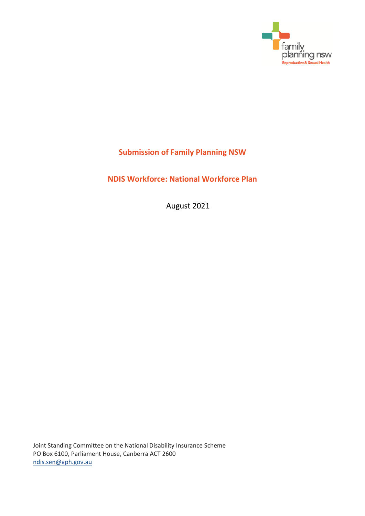

# **Submission of Family Planning NSW**

**NDIS Workforce: National Workforce Plan**

August 2021

Joint Standing Committee on the National Disability Insurance Scheme PO Box 6100, Parliament House, Canberra ACT 2600 [ndis.sen@aph.gov.au](mailto:ndis.sen@aph.gov.au)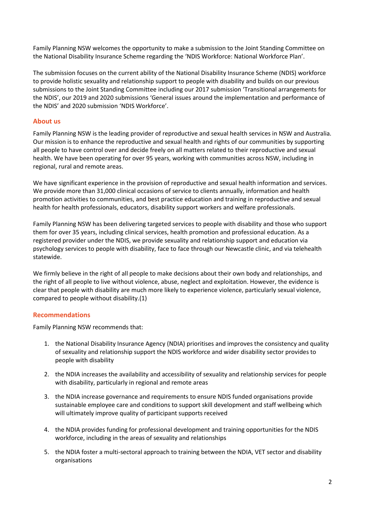Family Planning NSW welcomes the opportunity to make a submission to the Joint Standing Committee on the National Disability Insurance Scheme regarding the 'NDIS Workforce: National Workforce Plan'.

The submission focuses on the current ability of the National Disability Insurance Scheme (NDIS) workforce to provide holistic sexuality and relationship support to people with disability and builds on our previous submissions to the Joint Standing Committee including our 2017 submission 'Transitional arrangements for the NDIS', our 2019 and 2020 submissions 'General issues around the implementation and performance of the NDIS' and 2020 submission 'NDIS Workforce'.

# **About us**

Family Planning NSW is the leading provider of reproductive and sexual health services in NSW and Australia. Our mission is to enhance the reproductive and sexual health and rights of our communities by supporting all people to have control over and decide freely on all matters related to their reproductive and sexual health. We have been operating for over 95 years, working with communities across NSW, including in regional, rural and remote areas.

We have significant experience in the provision of reproductive and sexual health information and services. We provide more than 31,000 clinical occasions of service to clients annually, information and health promotion activities to communities, and best practice education and training in reproductive and sexual health for health professionals, educators, disability support workers and welfare professionals.

Family Planning NSW has been delivering targeted services to people with disability and those who support them for over 35 years, including clinical services, health promotion and professional education. As a registered provider under the NDIS, we provide sexuality and relationship support and education via psychology services to people with disability, face to face through our Newcastle clinic, and via telehealth statewide.

We firmly believe in the right of all people to make decisions about their own body and relationships, and the right of all people to live without violence, abuse, neglect and exploitation. However, the evidence is clear that people with disability are much more likely to experience violence, particularly sexual violence, compared to people without disability.(1)

# **Recommendations**

Family Planning NSW recommends that:

- 1. the National Disability Insurance Agency (NDIA) prioritises and improves the consistency and quality of sexuality and relationship support the NDIS workforce and wider disability sector provides to people with disability
- 2. the NDIA increases the availability and accessibility of sexuality and relationship services for people with disability, particularly in regional and remote areas
- 3. the NDIA increase governance and requirements to ensure NDIS funded organisations provide sustainable employee care and conditions to support skill development and staff wellbeing which will ultimately improve quality of participant supports received
- 4. the NDIA provides funding for professional development and training opportunities for the NDIS workforce, including in the areas of sexuality and relationships
- 5. the NDIA foster a multi-sectoral approach to training between the NDIA, VET sector and disability organisations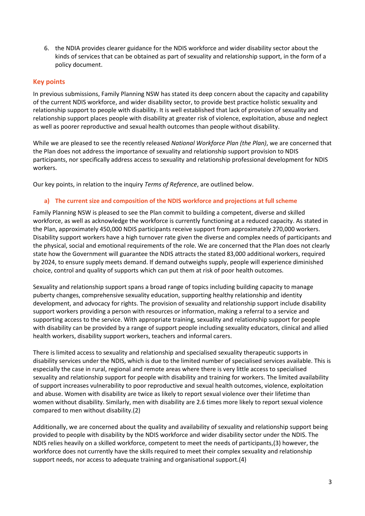6. the NDIA provides clearer guidance for the NDIS workforce and wider disability sector about the kinds of services that can be obtained as part of sexuality and relationship support, in the form of a policy document.

# **Key points**

In previous submissions, Family Planning NSW has stated its deep concern about the capacity and capability of the current NDIS workforce, and wider disability sector, to provide best practice holistic sexuality and relationship support to people with disability. It is well established that lack of provision of sexuality and relationship support places people with disability at greater risk of violence, exploitation, abuse and neglect as well as poorer reproductive and sexual health outcomes than people without disability.

While we are pleased to see the recently released *National Workforce Plan (the Plan)*, we are concerned that the Plan does not address the importance of sexuality and relationship support provision to NDIS participants, nor specifically address access to sexuality and relationship professional development for NDIS workers.

Our key points, in relation to the inquiry *Terms of Reference*, are outlined below.

## **a) The current size and composition of the NDIS workforce and projections at full scheme**

Family Planning NSW is pleased to see the Plan commit to building a competent, diverse and skilled workforce, as well as acknowledge the workforce is currently functioning at a reduced capacity. As stated in the Plan, approximately 450,000 NDIS participants receive support from approximately 270,000 workers. Disability support workers have a high turnover rate given the diverse and complex needs of participants and the physical, social and emotional requirements of the role. We are concerned that the Plan does not clearly state how the Government will guarantee the NDIS attracts the stated 83,000 additional workers, required by 2024, to ensure supply meets demand. If demand outweighs supply, people will experience diminished choice, control and quality of supports which can put them at risk of poor health outcomes.

Sexuality and relationship support spans a broad range of topics including building capacity to manage puberty changes, comprehensive sexuality education, supporting healthy relationship and identity development, and advocacy for rights. The provision of sexuality and relationship support include disability support workers providing a person with resources or information, making a referral to a service and supporting access to the service. With appropriate training, sexuality and relationship support for people with disability can be provided by a range of support people including sexuality educators, clinical and allied health workers, disability support workers, teachers and informal carers.

There is limited access to sexuality and relationship and specialised sexuality therapeutic supports in disability services under the NDIS, which is due to the limited number of specialised services available. This is especially the case in rural, regional and remote areas where there is very little access to specialised sexuality and relationship support for people with disability and training for workers. The limited availability of support increases vulnerability to poor reproductive and sexual health outcomes, violence, exploitation and abuse. Women with disability are twice as likely to report sexual violence over their lifetime than women without disability. Similarly, men with disability are 2.6 times more likely to report sexual violence compared to men without disability.(2)

Additionally, we are concerned about the quality and availability of sexuality and relationship support being provided to people with disability by the NDIS workforce and wider disability sector under the NDIS. The NDIS relies heavily on a skilled workforce, competent to meet the needs of participants,(3) however, the workforce does not currently have the skills required to meet their complex sexuality and relationship support needs, nor access to adequate training and organisational support.(4)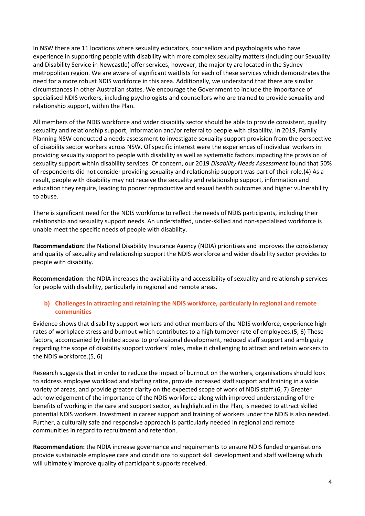In NSW there are 11 locations where sexuality educators, counsellors and psychologists who have experience in supporting people with disability with more complex sexuality matters (including our Sexuality and Disability Service in Newcastle) offer services, however, the majority are located in the Sydney metropolitan region. We are aware of significant waitlists for each of these services which demonstrates the need for a more robust NDIS workforce in this area. Additionally, we understand that there are similar circumstances in other Australian states. We encourage the Government to include the importance of specialised NDIS workers, including psychologists and counsellors who are trained to provide sexuality and relationship support, within the Plan.

All members of the NDIS workforce and wider disability sector should be able to provide consistent, quality sexuality and relationship support, information and/or referral to people with disability. In 2019, Family Planning NSW conducted a needs assessment to investigate sexuality support provision from the perspective of disability sector workers across NSW. Of specific interest were the experiences of individual workers in providing sexuality support to people with disability as well as systematic factors impacting the provision of sexuality support within disability services. Of concern, our 2019 *Disability Needs Assessment* found that 50% of respondents did not consider providing sexuality and relationship support was part of their role.(4) As a result, people with disability may not receive the sexuality and relationship support, information and education they require, leading to poorer reproductive and sexual health outcomes and higher vulnerability to abuse.

There is significant need for the NDIS workforce to reflect the needs of NDIS participants, including their relationship and sexuality support needs. An understaffed, under-skilled and non-specialised workforce is unable meet the specific needs of people with disability.

**Recommendation:** the National Disability Insurance Agency (NDIA) prioritises and improves the consistency and quality of sexuality and relationship support the NDIS workforce and wider disability sector provides to people with disability.

**Recommendation**: the NDIA increases the availability and accessibility of sexuality and relationship services for people with disability, particularly in regional and remote areas.

# **b) Challenges in attracting and retaining the NDIS workforce, particularly in regional and remote communities**

Evidence shows that disability support workers and other members of the NDIS workforce, experience high rates of workplace stress and burnout which contributes to a high turnover rate of employees.(5, 6) These factors, accompanied by limited access to professional development, reduced staff support and ambiguity regarding the scope of disability support workers' roles, make it challenging to attract and retain workers to the NDIS workforce.(5, 6)

Research suggests that in order to reduce the impact of burnout on the workers, organisations should look to address employee workload and staffing ratios, provide increased staff support and training in a wide variety of areas, and provide greater clarity on the expected scope of work of NDIS staff.(6, 7) Greater acknowledgement of the importance of the NDIS workforce along with improved understanding of the benefits of working in the care and support sector, as highlighted in the Plan, is needed to attract skilled potential NDIS workers. Investment in career support and training of workers under the NDIS is also needed. Further, a culturally safe and responsive approach is particularly needed in regional and remote communities in regard to recruitment and retention.

**Recommendation:** the NDIA increase governance and requirements to ensure NDIS funded organisations provide sustainable employee care and conditions to support skill development and staff wellbeing which will ultimately improve quality of participant supports received.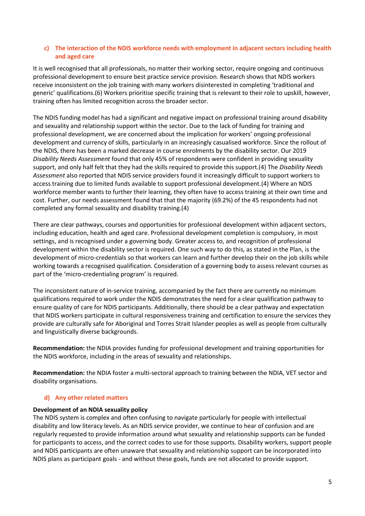# **c) The interaction of the NDIS workforce needs with employment in adjacent sectors including health and aged care**

It is well recognised that all professionals, no matter their working sector, require ongoing and continuous professional development to ensure best practice service provision. Research shows that NDIS workers receive inconsistent on the job training with many workers disinterested in completing 'traditional and generic' qualifications.(6) Workers prioritise specific training that is relevant to their role to upskill, however, training often has limited recognition across the broader sector.

The NDIS funding model has had a significant and negative impact on professional training around disability and sexuality and relationship support within the sector. Due to the lack of funding for training and professional development, we are concerned about the implication for workers' ongoing professional development and currency of skills, particularly in an increasingly casualised workforce. Since the rollout of the NDIS, there has been a marked decrease in course enrolments by the disability sector. Our 2019 *Disability Needs Assessment* found that only 45% of respondents were confident in providing sexuality support, and only half felt that they had the skills required to provide this support.(4) The *Disability Needs Assessment* also reported that NDIS service providers found it increasingly difficult to support workers to access training due to limited funds available to support professional development.(4) Where an NDIS workforce member wants to further their learning, they often have to access training at their own time and cost. Further, our needs assessment found that that the majority (69.2%) of the 45 respondents had not completed any formal sexuality and disability training.(4)

There are clear pathways, courses and opportunities for professional development within adjacent sectors, including education, health and aged care. Professional development completion is compulsory, in most settings, and is recognised under a governing body. Greater access to, and recognition of professional development within the disability sector is required. One such way to do this, as stated in the Plan, is the development of micro-credentials so that workers can learn and further develop their on the job skills while working towards a recognised qualification. Consideration of a governing body to assess relevant courses as part of the 'micro-credentialing program' is required.

The inconsistent nature of in-service training, accompanied by the fact there are currently no minimum qualifications required to work under the NDIS demonstrates the need for a clear qualification pathway to ensure quality of care for NDIS participants. Additionally, there should be a clear pathway and expectation that NDIS workers participate in cultural responsiveness training and certification to ensure the services they provide are culturally safe for Aboriginal and Torres Strait Islander peoples as well as people from culturally and linguistically diverse backgrounds.

**Recommendation:** the NDIA provides funding for professional development and training opportunities for the NDIS workforce, including in the areas of sexuality and relationships.

**Recommendation:** the NDIA foster a multi-sectoral approach to training between the NDIA, VET sector and disability organisations.

## **d) Any other related matters**

## **Development of an NDIA sexuality policy**

The NDIS system is complex and often confusing to navigate particularly for people with intellectual disability and low literacy levels. As an NDIS service provider, we continue to hear of confusion and are regularly requested to provide information around what sexuality and relationship supports can be funded for participants to access, and the correct codes to use for those supports. Disability workers, support people and NDIS participants are often unaware that sexuality and relationship support can be incorporated into NDIS plans as participant goals - and without these goals, funds are not allocated to provide support.